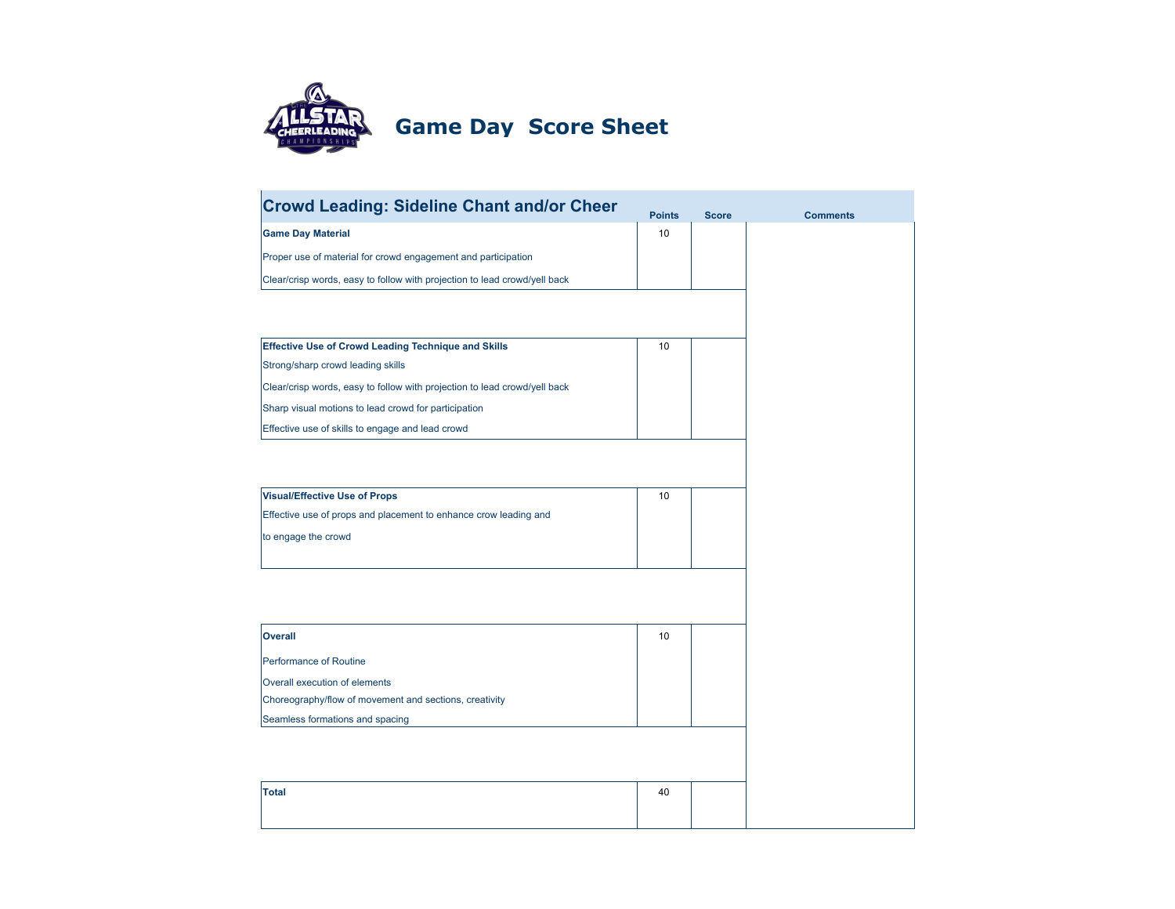

## **Game Day Score Sheet**

| <b>Crowd Leading: Sideline Chant and/or Cheer</b>                         | <b>Points</b> | <b>Score</b> |  |
|---------------------------------------------------------------------------|---------------|--------------|--|
| <b>Game Day Material</b>                                                  | 10            |              |  |
| Proper use of material for crowd engagement and participation             |               |              |  |
| Clear/crisp words, easy to follow with projection to lead crowd/yell back |               |              |  |
|                                                                           |               |              |  |
|                                                                           |               |              |  |
| <b>Effective Use of Crowd Leading Technique and Skills</b>                | 10            |              |  |
| Strong/sharp crowd leading skills                                         |               |              |  |
| Clear/crisp words, easy to follow with projection to lead crowd/yell back |               |              |  |
| Sharp visual motions to lead crowd for participation                      |               |              |  |
| Effective use of skills to engage and lead crowd                          |               |              |  |
|                                                                           |               |              |  |
|                                                                           |               |              |  |
| <b>Visual/Effective Use of Props</b>                                      | 10            |              |  |
| Effective use of props and placement to enhance crow leading and          |               |              |  |
| to engage the crowd                                                       |               |              |  |
|                                                                           |               |              |  |
|                                                                           |               |              |  |
|                                                                           |               |              |  |
| <b>Overall</b>                                                            | 10            |              |  |
| Performance of Routine                                                    |               |              |  |
| Overall execution of elements                                             |               |              |  |
| Choreography/flow of movement and sections, creativity                    |               |              |  |
| Seamless formations and spacing                                           |               |              |  |
|                                                                           |               |              |  |
|                                                                           |               |              |  |
| <b>Total</b>                                                              | 40            |              |  |
|                                                                           |               |              |  |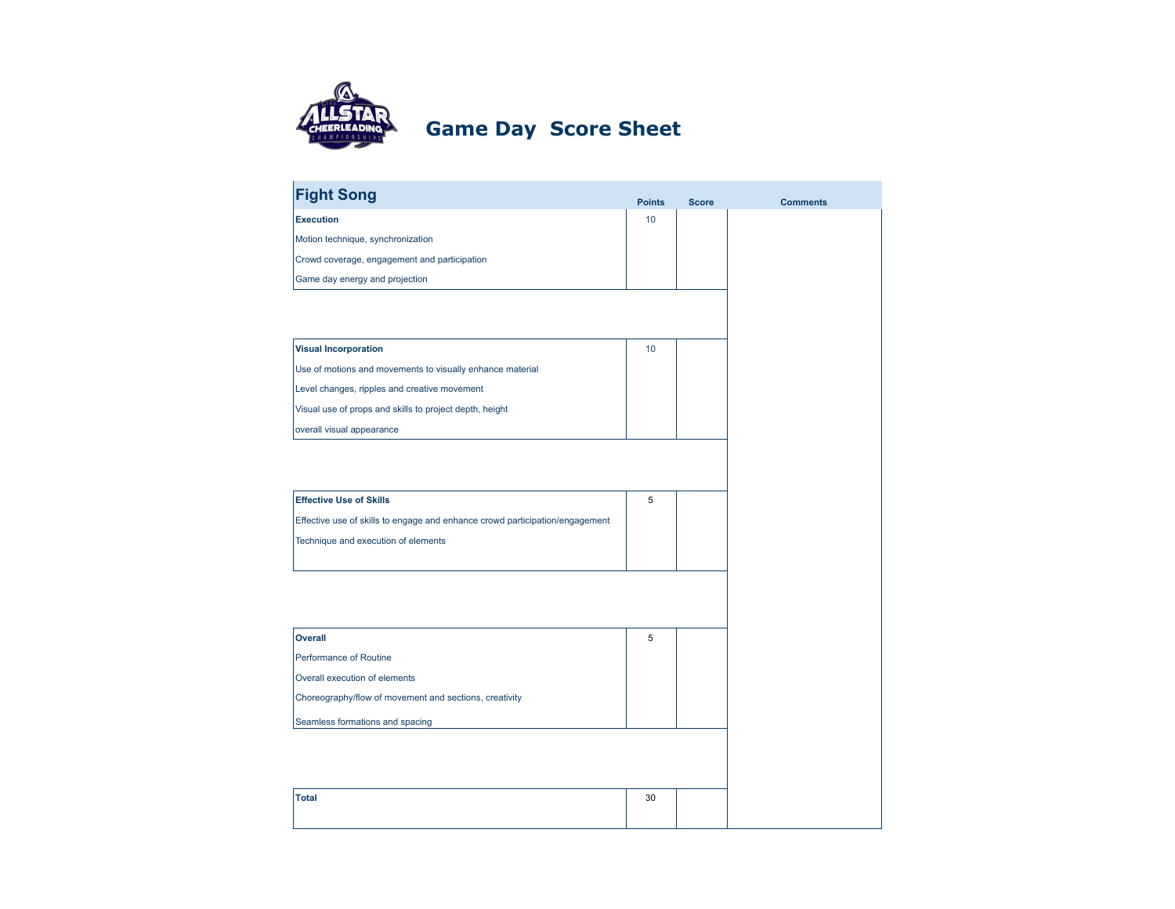

## **Game Day Score Sheet**

| <b>Fight Song</b>                                                            | <b>Points</b>   | <b>Score</b> | <b>Comments</b> |
|------------------------------------------------------------------------------|-----------------|--------------|-----------------|
| <b>Execution</b>                                                             | 10              |              |                 |
| Motion technique, synchronization                                            |                 |              |                 |
| Crowd coverage, engagement and participation                                 |                 |              |                 |
| Game day energy and projection                                               |                 |              |                 |
|                                                                              |                 |              |                 |
|                                                                              |                 |              |                 |
| <b>Visual Incorporation</b>                                                  | 10 <sup>1</sup> |              |                 |
| Use of motions and movements to visually enhance material                    |                 |              |                 |
| Level changes, ripples and creative movement                                 |                 |              |                 |
| Visual use of props and skills to project depth, height                      |                 |              |                 |
| overall visual appearance                                                    |                 |              |                 |
|                                                                              |                 |              |                 |
|                                                                              |                 |              |                 |
| <b>Effective Use of Skills</b>                                               | 5               |              |                 |
| Effective use of skills to engage and enhance crowd participation/engagement |                 |              |                 |
| Technique and execution of elements                                          |                 |              |                 |
|                                                                              |                 |              |                 |
|                                                                              |                 |              |                 |
|                                                                              |                 |              |                 |
| <b>Overall</b>                                                               | 5               |              |                 |
| Performance of Routine                                                       |                 |              |                 |
| Overall execution of elements                                                |                 |              |                 |
| Choreography/flow of movement and sections, creativity                       |                 |              |                 |
| Seamless formations and spacing                                              |                 |              |                 |
|                                                                              |                 |              |                 |
|                                                                              |                 |              |                 |
| <b>Total</b>                                                                 | 30              |              |                 |
|                                                                              |                 |              |                 |